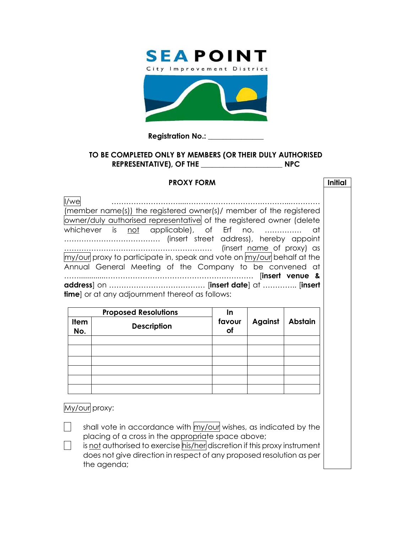

## **Registration No.: \_\_\_\_\_\_\_\_\_\_\_\_\_\_\_**

## **TO BE COMPLETED ONLY BY MEMBERS (OR THEIR DULY AUTHORISED REPRESENTATIVE), OF THE \_\_\_\_\_\_\_\_\_\_\_\_\_\_\_\_\_\_\_\_\_\_ NPC**

## **PROXY FORM Initial**

| l/we                                                                   |  |  |  |  |
|------------------------------------------------------------------------|--|--|--|--|
| (member name(s)) the registered owner(s)/ member of the registered     |  |  |  |  |
| owner/duly authorised representative of the registered owner (delete   |  |  |  |  |
| whichever is not applicable), of Erf no.  at                           |  |  |  |  |
|                                                                        |  |  |  |  |
|                                                                        |  |  |  |  |
| my/our proxy to participate in, speak and vote on my/our behalf at the |  |  |  |  |
| Annual General Meeting of the Company to be convened at                |  |  |  |  |
|                                                                        |  |  |  |  |
|                                                                        |  |  |  |  |
| time] or at any adjournment thereof as follows:                        |  |  |  |  |

|                    | <b>Proposed Resolutions</b> | In           |         |                |
|--------------------|-----------------------------|--------------|---------|----------------|
| <b>Item</b><br>No. | <b>Description</b>          | favour<br>of | Against | <b>Abstain</b> |
|                    |                             |              |         |                |
|                    |                             |              |         |                |
|                    |                             |              |         |                |
|                    |                             |              |         |                |
|                    |                             |              |         |                |
|                    |                             |              |         |                |

My/our proxy:

shall vote in accordance with  $m$ *y*/our wishes, as indicated by the placing of a cross in the appropriate space above;

 $\Box$  is not authorised to exercise his/her discretion if this proxy instrument does not give direction in respect of any proposed resolution as per the agenda;